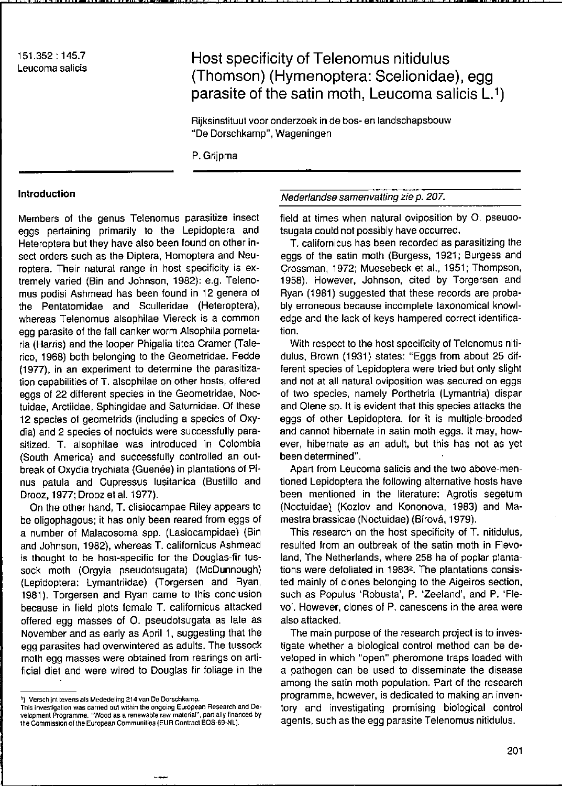151.352 : 145.7 Leucoma salicis

# Host specificity of Telenomus nitidulus (Thomson) (Hymenoptera: Scelionidae), egg parasite of the satin moth, Leucoma salicis  $L^{1}$ )

Rijksinsliluul voor onderzoek in de bos- en landschapsbouw "De Dorschkamp", Wageningen

P.Grijpma

#### Introduction

Members of the genus Telenomus parasitize insect eggs pertaining primarily to the Lepidoptera and Heteroptera but they have also been found on other insect orders such as the Diptera, Homoptera and Neuroptera. Their natural range in host specificity is extremely varied (Bin and Johnson, 1982): e.g. Telenomus podisi Ashmead has been found in 12 genera of the Pentatomidae and Sculleridae (Heteroptera), whereas Telenomus alsophilae Viereck is a common egg parasite of the fall canker worm Alsophila pometaria (Harris) and the looper Phigalia litea Cramer (Talerico, 1968) both belonging 10 Ihe Geometridae. Fedde (1977), in an experiment to determine the parasitization capabilities of T. alsophilae on other hosts, offered eggs of 22 different species in the Geometridae, Noctuidae, Arcliidae, Sphingidae and Salurnidae. Of Ihese 12 species of geometrids (including a species of Oxydia) and 2 species of nocluids were successfully parasitized. T. alsophilae was introduced in Colombia (South America) and successfully controlled an outbreak of Oxydia trychiata (Guenée) in plantations of Pinus patula and Cupressus Iusitanica (Bustillo and Drooz, 1977; Drooz et al. 1977).

On the other hand, T. clisiocampae Riley appears 10 be oligophagous; it has only been reared from eggs of a number of Malacosoma spp. (Lasiocampidae) (Bin and Johnson, 1982), whereas T. californicus Ashmead is thought to be host-specific for the Douglas-fir tussock moth (Orgyia pseudotsugata) (McDunnough) (Lepidoptera: Lymanlriidae) (Torgersen and Ryan, 1981). Torgersen and Ryan came to this conclusion because in field plots female T. californicus attacked offered egg masses of O. pseudotsugata as late as November and as early as April 1, suggesting that the egg parasiles had overwinlered as adulls. The lussock moth egg masses were obtained trom rearings on artificial diet and were wired to Douglas fir foliage in the Nederlandse samenvatting zie p. 207.

field at times when natural oviposition by O. pseudo-Isugala could nol possibly have occurred.

T. californicus has been recorded as parasilizing Ihe eggs of Ihe salin moth (Burgess, 1921; Burgess and Crossman, 1972; Muesebeck et al., 1951; Thompson, 1958). However, Johnson, ciled by Torgersen and Ryan (1981) suggested that these records are probably erroneous because incomplele laxonomical knowledge and the lack of keys hampered correct identification.

With respect to the host specificity of Telenomus nitidulus, Brown (1931) slales: "Eggs from about 25 different species of Lepidoptera were tried but only slight and not at all natural oviposition was secured on eggs of two species, namely Porthetria (Lymantria) dispar and Olene sp. It is evident that this species attacks the eggs of olher Lepidoplera, for il is mulliple-brooded and cannot hibernate in satin moth eggs. It may, however, hibernate as an adult, but this has not as yet been determined".

Apart from Leucoma salicis and Ihe Iwo above-menlioned Lepidoptera the following alternative hosts have been mentioned in the literature: Agrotis segetum (Noctuidael (Kozlov and Kononova, 1983) and Mameslra brassicae (Nocluidae) (Birová, 1979).

This research on the host specificity of T. nilidulus, resulted from an outbreak of Ihe satin moth in Flevoland, The Netherlands, where 258 ha of poplar plantations were defoliated in 1983<sup>2</sup>. The plantations consisled mainly of clones belonging 10 Ihe Aigeiros section, such as Populus 'Robusta', P. 'Zeeland', and P. 'Flevo'. However, clones of P. canescens in the area were also attacked.

The main purpose of the research project is to invesligale whelher a biological control melhod can be developed in which "open" pheromone Iraps loaded wilh a pathogen can be used to disseminate Ihe disease among the satin moth population. Part of the research programme, however, is dedicaled to making an inventory and investigaling promising biological control agents, such as the egg parasite Telenomus nitidulus.

<sup>1)</sup> Verschijnlievens als Mededeling 214 van De Dorschkamp.

This investigation was carried out within the ongoing European Research and De-<br>velopment Programme. "Wood as a renewabte raw material", partially financed by the Commission of the European Communities (EUR Contract BOS-69-NL).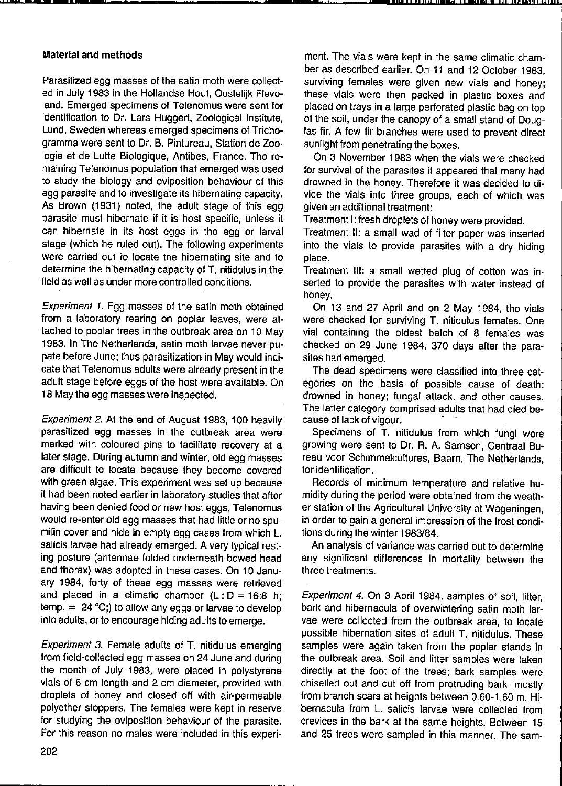### Material and methods

**"- \_-\_\_ ,** 

Parasitized egg masses of the satin moth were collected in July 1983 in the Hollandse Hout, Oostelijk Flevoland. Emerged specimens of Telenomus were sent for identification to Dr. Lars Huggert, Zoological Institute, Lund, Sweden whereas emerged specimens of Trichogramma were sent to Dr. B. Pintureau, Slation de Zoologie et de Lutte Biologique, Antibes, France. The re· maining Telenomus population that emerged was used to study the biology and oviposition behaviour of this egg parasite and to investigate its hibernating capacity. As Brown (1931) noted, the adult stage of this egg parasite must hibernate if it is host specific, unless it can hibernate in its host eggs in the egg or larval stage (which he ruled out). The following experiments were carried out io locate the hibernating site and to determine the hibernating capacity of T. nitidulus in the field as weil as under more controlled conditions.

Experiment 1. Egg masses of the satin moth obtained from a laboratory rearing on poplar leaves, were attached to poplar trees in the outbreak area on 10 May 1983. In The Netherlands, satin moth larvae never pu· pate before June; thus parasitization in May would indi· cate that Telenomus adults were already present in the adult stage before eggs of the host were available. On 18 May the egg masses were inspected.

Experiment 2. At the end of August 1983, 100 heavily parasitized egg masses in the outbreak area were marked with coloured pins to facilitate recovery at a later stage. During autumn and winter, old egg masses are difticult to locate because they become covered with green algae. This experiment was set up because it had been noted earlier in laboratory studies that after having been denied food or new host eggs, Telenomus would re-enter old egg masses that had little or no spumilin cover and hide in empty egg cases from which L. salicis larvae had already emerged. A very typical rest· ing posture (antennae folded underneath bowed head and thorax) was adopted in these cases. On 10 Janu· ary 1984, forty of these egg masses were retrieved and placed in a climatic chamber  $(L: D = 16:8 h;$ temp.  $= 24 \degree C$ ;) to allow any eggs or larvae to develop into adults, or to encourage hiding adults to emerge.

Experiment 3. Female adults of T. nitidulus emerging from field·collected egg masses on 24 June and during the month of July 1983, were placed in polystyrene vials of 6 cm length and 2 cm diameter, provided with droplets of honey and closed oft with air·permeable polyether stoppers. The females were kept in reserve for studying the oviposition behaviour of the parasite. For this reason no males were included in this experiment. The vials were kept in the same climatic cham· ber as described earlier. On 11 and 12 October 1983, **surviving females were given new vials and honey;**  these vials were then packed in plastic boxes and placed on trays in a large perforated plastic bag on top of the soil, under the canopy of a small stand of Douglas fir. A few fir branches were used to prevent direct sunlight from penetrating the boxes.

**.",."''''''' " .... "9"N' W UI "C!J"""LI'd'** 

On 3 November 1983 when the vials were checked for survival of the parasites it appeared that many had drowned in the honey. Therefore it was decided to di· vide the vials into three groups, each of which was given an additional treatment:

Treatment I: fresh droplets of honey were provided.

Treatment 11: a small wad of filter paper was inserted into the vials to provide parasites with a dry hiding place.

Treatment 111: a small wetted plug of cotton was in· serted to provide the parasites with water instead of honey.

On 13 and 27 April and on 2 May 1984, the vials were checked for surviving T. nitidulus females. One vial containing the oldest batch of 8 females was checked on 29 June 1984, 370 days after the para· sites had emerged.

The dead specimens were classified into three cat· egories on the basis of possible cause of death: drowned in honey; fungal altack, and other causes. The latter category comprised adults that had died be· cause of lack of vigour.

Specimens of T. nitidulus from which fungi were growing were sent to Dr. R. A. Samson, Centraal Bu· reau voor Schimmelcultures, Baarn, The Netherlands, for identification.

Records of minimum temperature and relative hu· midity during the period were obtained from the weath· er station of the Agricultural Universily at Wageningen, in order to gain a general impression of the frost condi· tions during the winter 1983/84.

An analysis of varianee was carried out to determine any significant difterences in mortality between the three treatments.

Experiment 4. On 3 April 1984, samples of soil, litter, bark and hibernacula of overwintering satin moth lar· vae were collected from the outbreak area, to locate possible hibernation sites of adult T. nitidulus. These samples were again taken from the poplar stands in the outbreak area. Soil and litter samples were taken directly at the foot of the trees; bark samples were chiselled out and cut off from protruding bark, mostly from branch scars at heights between 0.60·1.60 m. Hi· bernacula from L. salicis larvae were collected from crevices in the bark at the same heights. Between 15 and 25 trees were sampled in this manner. The sam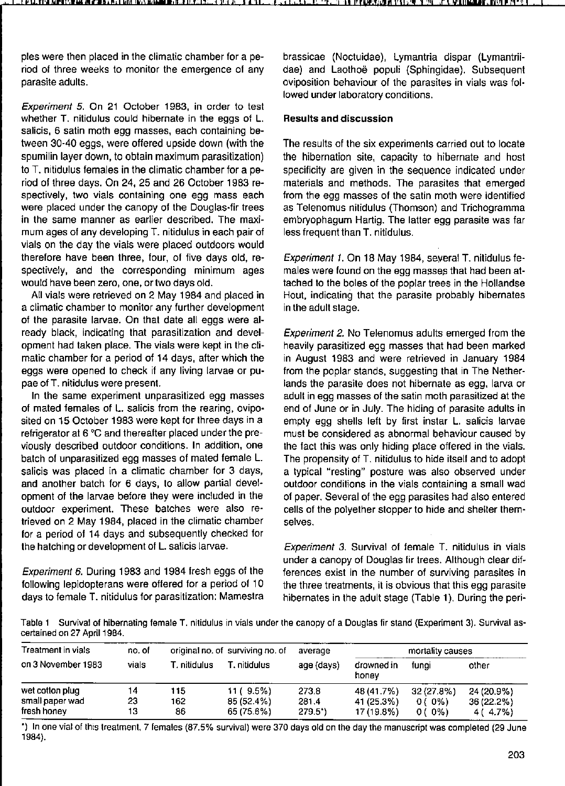ples were then placed in the climatic chamber for a period of three weeks to monitor the emergence of any parasite adults.

Experiment 5. On 21 October 1983, in order to test whether T. nitidulus eould hibernate in the eggs of L. salicis, 6 satin moth egg masses, eaeh eontaining between 30-40 eggs, were offered upside down (with the spumilin layer down, to obtain maximum parasitization) to T. nitidulus females in the elimatie ehamber for a period of three days. On 24, 25 and 26 October 1983 respectively, two vials containing one egg mass each were plaeed under the eanopy of the Douglas-fir trees **in the same manner as earlier described. The maxi**mum ages of any developing T. nitidulus in eaeh pair of vials on the day the vials were placed outdoors would therefore have been three, four, of five days old, respectively, and the corresponding minimum ages would have been zero, one, or two days old.

All vials were retrieved on 2 May 1984 and placed in a climatic chamber to monitor any further development of the parasite larvae. On that date all eggs were already black, indicating that parasitization and development had taken place. The vials were kept in the climatic chamber for a period of 14 days, after which the eggs were opened to check if any living larvae or pupae of T. nitidulus were present.

In the same experiment unparasitized egg masses of mated females of L. salicis from the rearing, oviposited on 15 October 1983 were kept for three days in a refrigerator at  $6^{\circ}$ C and thereafter placed under the previously described outdoor eonditions. In addition, one batch of unparasitized egg masses of mated female L. salicis was placed in a climatic chamber for 3 days, and another batch for 6 days, to allow partial development of the larvae before they were included in the outdoor experiment. These batches were also retrieved on 2 May 1984, plaeed in the elimatie ehamber for a period of 14 days and subsequently cheeked for the hatehing or development of L. salieis larvae.

Experiment 6. During 1983 and 1984 fresh eggs of the following lepidopterans were offered for a period of 10 days to female T. nitidulus for parasitization: Mamestra brassieae (Noetuidae), Lymantria dispar (Lymantriidae) and Laothoë populi (Sphingidae). Subsequent oviposition behaviour of the parasites in vials was followed under laboratory eonditions.

# **Results and discussion**

The results of the six experiments carried out to locate the hibernation site, capacity to hibernate and host specificity are given in the sequence indicated under materials and methods. The parasites that emerged from the egg masses of the satin moth were identified as Telenomus nitidulus (Thomson) and Trichogramma embryophagum Hartig. The latter egg parasite was far less frequent than T. nitidulus.

Experiment 1. On 18 May 1984, several T. nilidulus females were found on the egg masses that had been attached to the boles of the poplar trees in the Hollandse Hout, indieating that the parasite probably hibernates in the adult stage.

Experiment 2. No Telenomus adults emerged from the heavily parasitized egg masses that had been marked in August 1983 and were retrieved in January 1984 from the poplar stands, suggesting that in The Netherlands the parasite does not hibernate as egg, larva or adult in egg masses of the satin moth parasilized at the end of June or in July. The hiding of parasite adults in empty egg shells left by first instar L. salicis larvae must be considered as abnormal behaviour caused by the fact this was only hiding place offered in the vials. The propensity of T. nitidulus to hide itself and to adopt a typical "resting" posture was also observed under outdoor conditions in the vials containing a small wad of paper. Several of the egg parasites had also entered cells of the polyether stopper to hide and shelter them**selves.** 

Experiment 3. Survival of female T. nitidulus in vials under a canopy of Douglas fir trees. Although clear differences exist in the number of surviving parasites in the three treatments, it is obvious that this egg parasite hibernates in the adult stage (Tabie 1). During the peri-

**Tabla 1 Survival of hibernaling femala T. nitïdulus in vials under Ihe canopy of a Douglas fir stand (Experiment 3). Survival as· certained on 27** April 1984.

| Treatment in vials                                | no. of         | original no. of surviving no. of |                                        | average                | mortality causes                       |                                    |                                       |
|---------------------------------------------------|----------------|----------------------------------|----------------------------------------|------------------------|----------------------------------------|------------------------------------|---------------------------------------|
| on 3 November 1983                                | vials          | T. nitidulus.                    | ī. nitidulus l                         | age (days)             | drowned in<br>honey                    | funai                              | other                                 |
| wet cotton plug<br>small paper wad<br>fresh honev | 14<br>23<br>13 | 115<br>162<br>86                 | 11 ( 9.5%)<br>85 (52.4%)<br>65 (75.6%) | 273.8<br>2814<br>279.5 | 48 (41.7%)<br>41 (25.3%)<br>17 (19.8%) | 32 (27.8%)<br>$0(0\%)$<br>$0(0\%)$ | 24 (20.9%)<br>36 (22.2%)<br>4 ( 4.7%) |

**-) In one vialof Ihis treatment, 7 females (87.5% survival) were 370 days aid on Ihe day the manuscript was completed (29 June**  1984).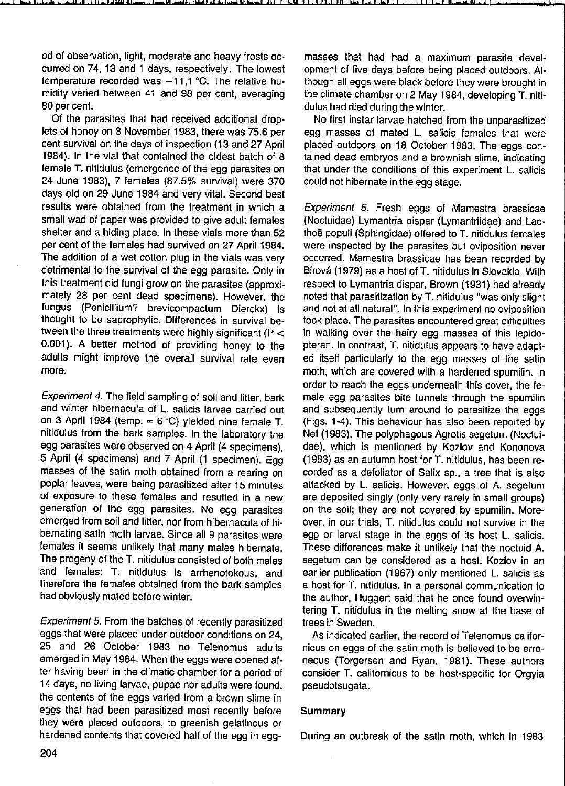od of observation, light, moderate and heavy frosts occurred on 74,13 and 1 days, respectively. The lowest temperature recorded was  $-11,1$  °C. The relative humidity varied between 41 and 98 per cent, averaging 80 per cent.

Of the parasites that had received additional droplets of honey on 3 November 1983, there was 75.6 per cent survival on the days of inspection (13 and 27 April 1984). In the vial that contained the oldest batch of 8 female T. nitidulus (emergence of the egg parasites on 24 June 1983), 7 females (87.5% survival) were 370 days old on 29 June 1984 and very vital. Second best results were obtained from the treatment in which a small wad of paper was provided to give adult females shelter and a hiding place. In these vials more than 52 per cent of the females had survived on 27 April 1984. The addition of a wet cotton plug in the vials was very detrimental to the survival of the egg parasite. Only in this treatment did fungi grow on the parasites (approximately 28 per cent dead specimens). However, the fungus (PeniciIlium? brevicompactum Dierckx) is thought to be saprophytic. Differences in survival between the three treatments were highly significant ( $P <$ 0.001). A better method of providing honey to the adults might improve the overall survival rate even **more.** 

Experiment 4. The field sampling of soil and litter, bark **and winter hibernacula of L. salicis larvae carried out**  on 3 April 1984 (temp. = 6 °C) yielded nine female T. nitidulus from the bark samples. In the laboratory the egg parasites were observed on 4 April (4 specimens), 5 April (4 specimens) and 7 April (1 specimen). Egg masses of the satin moth obtained from a rearing on poplar leaves, were being parasitized after 15 minutes of exposure to these females and resulted in a new generation of the egg parasites. No egg parasites emerged from soil and litter, nor from hibernacula of hibernating satin moth larvae. Since all 9 parasites were females it seems unlikely that many males hibernate. The progeny of the T. nitidulus consisted of both males and females: T. nitidulus is arrhenotokous, and therefore the females obtained from the bark samples had obviously mated before winter.

Experiment 5. From the batches of recently parasitized eggs that were placed under outdoor conditions on 24, 25 and 26 October 1983 no Telenomus adults emerged in May 1984. When the eggs were opened after having been in the climatic chamber for a period of 14 days, no living larvae, pupae nor adults were found. the contents of the eggs varied from a brown slime in eggs that had been parasitized most recently before they were placed outdoors, to greenish gelatinous or hardened contents that covered half of the egg in eggmasses that had had a maximum parasite development of five days before being placed outdoors. AIthough all eggs were black before they were brought in the climate chamber on 2 May 1984, developing T. nilidulus had died during the winter.

No first instar larvae hatched from the unparasitized egg masses of mated L. salicis females that were placed outdoors on 18 October 1983. The eggs contained dead embryos and a brownish slime, indicating that under the conditions of this experiment L. salicis could not hibernate in the egg stage.

Experiment 6. Fresh eggs of Mamestra brassicae (Noetuidae) Lymantria dispar (Lymantriidae) and Laothoë populi (Sphingidae) offered to T. nitidulus females were inspeeted by the parasites but oviposition never oceurred. Mamestra brassicae has been recorded by Birová (1979) as a host of T. nitidulus in Slovakia. With respect to Lymantria dispar, Brown (1931) had already noted that parasitization by T. nitidulus "was only slight **and not at all naturai" . In this experiment no oviposition**  took place. The parasites encountered great difficullies in walking over the hairy egg masses of this lepidopteran. In contrast, T. nitidulus appears to have adapted itself particularly to the egg masses of the satin moth, which are covered with a hardened spumilin. In order to reach the eggs underneath this cover, the female egg parasites bite tunnets through the spumilin and subsequently turn around to parasilize the eggs (Figs. 1-4). This behaviour has also been reported by Nef (1983). The polyphagous Agrotis segetum (Noctuidae), whieh is mentioned by Kozlov and Kononova (1983) as an autumn host for T. nitidulus, has been recorded as a defoliator of Salix sp., a tree that is also attacked by L. salieis. However, eggs of A. segetum are deposited singly (only very rarely in small groups) on the soil; they are not covered by spumilin. Moreover, in our trials, T. nitidulus could not survive in the egg or larval stage in the eggs of its host L. salicis. These differences make it unlikely that the noetuid A. segetum can be considered as a host. Kozlov in an earlier publication (1967) only mentioned L. salieis as a host for T. nitidulus. In a personal communication to the author, Huggert said that he once found overwintering T. nitidulus in the melling snow at the base of trees in Sweden.

As indicated earlier, the record of Telenomus californicus on eggs of the satin moth is believed to be erroneous (Torgersen and Ryan, 1981). These authors consider T. californicus to be host-specifie for Orgyia pseudotsugata.

### Summary

During an outbreak of the salin moth, which in 1983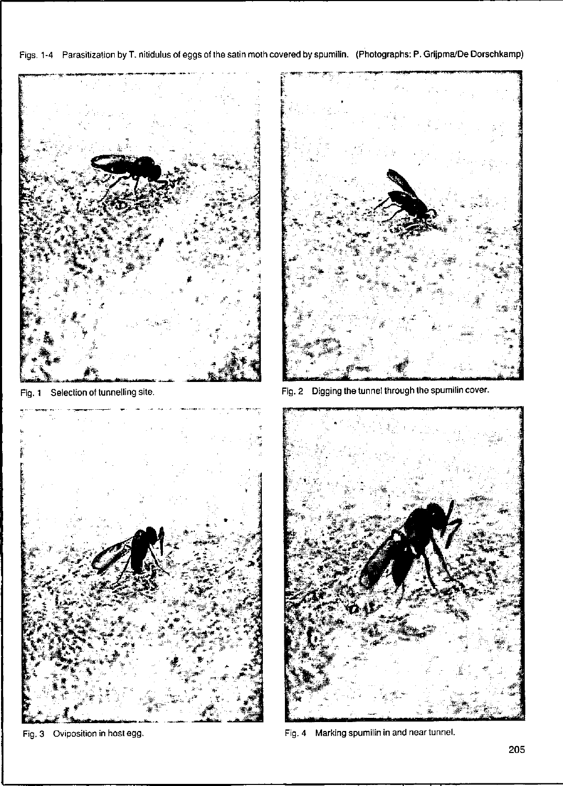Figs. 1-4 Parasitization by T. nitidulus of eggs of the satin moth covered by spumilin. (Photographs: P. Grijpma/De Dorschkamp)



Fig. 3 Oviposition in host egg. The state of the state of the Fig. 4 Marking spumilin in and near tunnel.

205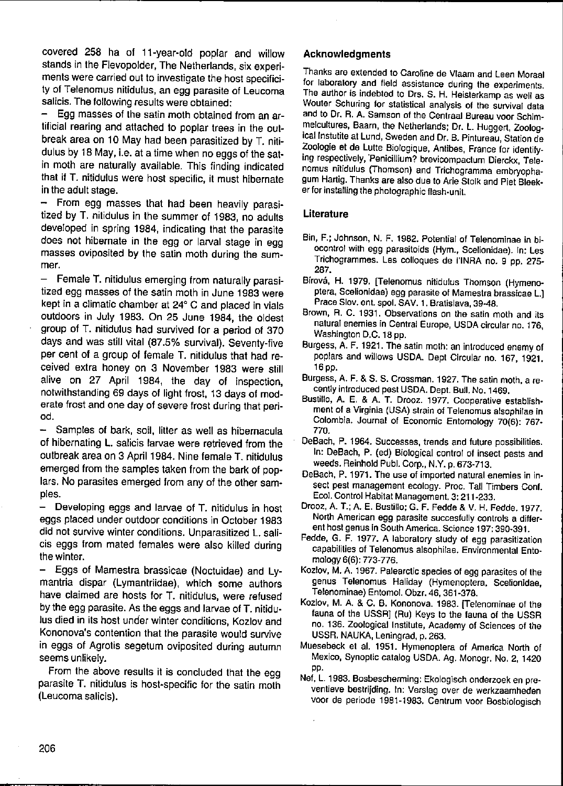covered 258 ha of 11-year-old poplar and willow stands in the Flevopolder, The Netherlands, six experiments were carried out to invesligate the host specilicity of Telenomus nitidulus, an egg parasite of Leucoma salicis. The following results were obtained:

Egg masses of the satin moth obtained from an artificial rearing and attached to poplar trees in the outbreak area on 10 May had been parasitized by T. nilidulus by 18 May, i.e. at a time when no eggs of the satin moth are naturally available. This finding indicated that if T. nitidulus were host specific, it must hibernate in the adult stage.

- From egg masses that had been heavily parasitized by T. nitidulus in the summer of 1983, no adults developed in spring 1984, indicating that the parasite does not hibernate in the egg or larval stage in egg masses oviposited by the satin moth during the sum**mer.** 

 $-$  Female T. nitidulus emerging from naturally parasitized egg masses of the satin moth in June 1983 were kepi in a climalie chamber at 24° C and placed in vials outdoors in July 1983. On 25 June 1984, Ihe oldesl group of T. nitidulus had survived for a period of 370 days and was still vital (87.5% survival). Seventy-five per cent of a group of female T. nitidulus that had received extra honey on 3 November 1983 were still alive on 27 April 1984, the day of inspection, notwithstanding 69 days of light frost, 13 days of moderate frost and one day of severe frost during that periad.

Samples of bark, soil, litter as well as hibernacula of hibernating l. salicis larvae were retrieved from the outbreak area on 3 April 1984. Nine female T. nitidulus emerged from the samples taken from the bark of poplars. No parasites emerged from any of the other samples.

- Developing eggs and larvae of T. nitidulus in host eggs placed under outdoor conditions in October 1983 did not survive winter conditions. Unparasitized L. salicis eggs from mated females were also killed during the winter.

Eggs of Mamestra brassicae (Noctuidae) and Lymanlria dispar (Lymantriidae), which some authors have claimed are hosts for T. nitidulus, were refused by the egg parasite. As the eggs and larvae of T. nitidulus died in its host under winier conditions, Kozlov and Kononova's contention that the parasite would survive in eggs of Agrotis segetum oviposited during autumn seems unlikely.

From the above results it is concluded that the egg parasite T. nitidulus is host-specific for the satin moth (Leucoma salicis).

## Acknowledgments

**Thanks ars extended 10 Caroline de Vlaam and Leen Moraal for laboratory and field assistanee during Ihe experiments. The author is indebted to Drs. S. H. Heisterkamp as weil as Wouter Schuring for statistical analysis of Ihe survival data**  and to Dr. R. A. Samson of the Centraal Bureau voor Schim**melcultures, Baarn, Ihe Netherlands; Dr. l. Huggert, 20010gical Instutite at Lund, Sweden and Dr. 8. Pintureau, Station de Zoologie et de Lutte Biologique, Anlibes, France for identifying respeclively. 'PeniciIlium? brevicompactum Dierckx, Telenomus nitidulus (Thomson) and Trichogramma embryopha. gum Hartig. Thanks are also due 10 Arie Slork and Piel Bleeker for installing Ihe photographic flash-unit.** 

## Literature

- Bin, F.; Johnson, N. F. 1982. Potential of Telenominae in bi**ocantral with egg parasitaids (Hym., Scelianidae). In: Les Trichagrammes. Les calloques de I'INRA no. 9 pp. 275-** 287.
- **Birová, H. 1979. [Telenomus nitidulus Thomsan (Hymenoptera, Scelionidae) egg parasite of Mamestra brassicae L.l**  Prace Slov. ent. spol. SAV. 1. Bratislava, 39-48.
- **Brown, R. C. 1931. Observations on the satin moth and its natural enemies in Central Europe, USDA circular no. 176,**  Washington D.G. 18 pp.
- **Burgess, A. F. 1921. The satln math: an introduced enemy of**  poplars and willows USDA. Dept Gircular no. 167, t921. 16pp.
- **Burgess, A. F. & S. S. Crossman. 1927. The satln math, a recently intraduced pest USDA. Dept. Bull. No. 1469.**
- **Bustillo, A. E. & A. T. Orooz. 1977. Cooperative establishment of a Virginia (USA) strain of Telenomus alsophilae in**  Colombia. Journal of Economic Entomology 70(6): 767-770.
- **DeBach, P. 1964. Successes, trends and future possibilities.**  In: DeBach, P. (ed) Biological control of insect pests and weeds. Reinhold Pub!. Gorp., N.Y. p. 673-713.
- **OeBach, P. 1971. The use of imported natural enemies in insect pest management ecology. Proc. Tall Timbers Cont. Ecol. Control Habitat Management. 3: 211-233.**
- Draaz, A. T.; A. E. Bustillo; G. F. Fedde & V. H. Fedde. 1977. North American egg parasite succesfully controls a differ**ent host genus in South America. Science 197: 390·391.**
- **Fedde, G. F. 1977. A laboratory study of egg parasitizatian capabilities of Telenornus alsophilae. Environmental Ento**mology 6(6): 773-776.
- **Kozlav, M. A. 1967. Palearctic species of eg9 parasites of the genus Telenomus Haliday (Hymenoptera, Scelionidae,**  Telenominae) Entomol. Obzr. 46, 361-378.
- **Kozlov, M. A. & C. 8. Kanonova. 1983. [Telenominae of the**  fauna of the USSR] (Ru) Keys to the fauna of the USSR **no. 136. Zoological Institute, Academy of Sciences of Ihe**  USSR. NAUKA, Leningrad, p. 263.
- **Muesebeck et al. 1951. Hymenoptera of Amenca North of**  Mexico, Synoptic catalog USDA. Ag. Monogr. No. 2, 1420 pp.
- **Nef, L. 1983. Bosbescherming: Ekologisch onderzoek en preventieve bestrijding. In: Verslag over de werkzaamheden voor de periode 1981-1983. Centrum voor Bosbiologisch**